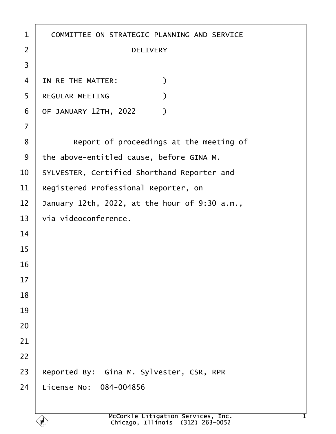| $\mathbf 1$    | COMMITTEE ON STRATEGIC PLANNING AND SERVICE   |
|----------------|-----------------------------------------------|
| $\overline{2}$ | <b>DELIVERY</b>                               |
| 3              |                                               |
| 4              | IN RE THE MATTER:<br>$\mathcal{C}$            |
| 5              | REGULAR MEETING                               |
| 6              | OF JANUARY 12TH, 2022<br>$\mathcal{Y}$        |
| $\overline{7}$ |                                               |
| 8              | Report of proceedings at the meeting of       |
| 9              | the above-entitled cause, before GINA M.      |
| 10             | SYLVESTER, Certified Shorthand Reporter and   |
| 11             | Registered Professional Reporter, on          |
| 12             | January 12th, 2022, at the hour of 9:30 a.m., |
| 13             | via videoconference.                          |
| 14             |                                               |
| 15             |                                               |
| 16             |                                               |
| 17             |                                               |
| 18             |                                               |
| 19             |                                               |
| 20             |                                               |
| 21             |                                               |
| 22             |                                               |
| 23             | Reported By: Gina M. Sylvester, CSR, RPR      |
| 24             | License No: 084-004856                        |
|                |                                               |

 $\left\langle \mathbf{r} \right\rangle$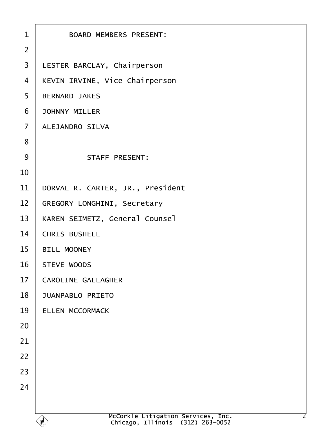| $\mathbf{1}$   | BOARD MEMBERS PRESENT:                                                                      |
|----------------|---------------------------------------------------------------------------------------------|
| $\overline{2}$ |                                                                                             |
| $\overline{3}$ | LESTER BARCLAY, Chairperson                                                                 |
| $\overline{4}$ | KEVIN IRVINE, Vice Chairperson                                                              |
| 5              | <b>BERNARD JAKES</b>                                                                        |
| 6              | <b>JOHNNY MILLER</b>                                                                        |
| $\overline{7}$ | ALEJANDRO SILVA                                                                             |
| 8              |                                                                                             |
| 9              | STAFF PRESENT:                                                                              |
| 10             |                                                                                             |
| 11             | DORVAL R. CARTER, JR., President                                                            |
| 12             | GREGORY LONGHINI, Secretary                                                                 |
| 13             | KAREN SEIMETZ, General Counsel                                                              |
| 14             | CHRIS BUSHELL                                                                               |
| 15             | <b>BILL MOONEY</b>                                                                          |
| 16             | STEVE WOODS                                                                                 |
| 17             | CAROLINE GALLAGHER                                                                          |
| 18             | <b>JUANPABLO PRIETO</b>                                                                     |
| 19             | ELLEN MCCORMACK                                                                             |
| 20             |                                                                                             |
| 21             |                                                                                             |
| 22             |                                                                                             |
| 23             |                                                                                             |
| 24             |                                                                                             |
|                |                                                                                             |
|                | McCorkle Litigation Services, Inc.<br>Chicago, Illinois (312) 263-0052<br>2<br>$\mathbf{f}$ |
|                |                                                                                             |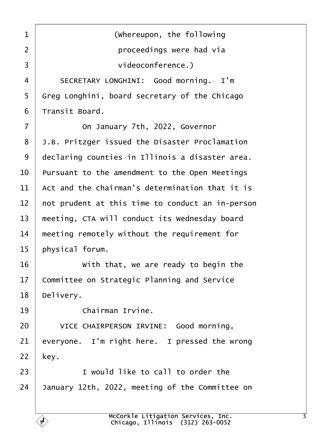<span id="page-2-0"></span>1 **I** *(whereupon, the following* ·2· · · · · · · · · · proceedings were had via ·3· · · · · · · · · · videoconference.) 4 SECRETARY LONGHINI: Good morning. I'm  $5$  Greg Longhini, board secretary of the Chicago  $6$  Transit Board. 7 **On January 7th, 2022, Governor** 8 J.B. Pritzger issued the Disaster Proclamation 9 | declaring counties in Illinois a disaster area.  $10$  Pursuant to the amendment to the Open Meetings  $11$   $\pm$  Act and the chairman's determination that it is  $12$   $\vert$  not prudent at this time to conduct an in-person 13 | meeting, CTA will conduct its Wednesday board  $14$  meeting remotely without the requirement for  $15$  | physical forum. 16 With that, we are ready to begin the  $17$  Committee on Strategic Planning and Service 18 | Delivery. 19 **chairman Irvine.** 20 VICE CHAIRPERSON IRVINE: Good morning.  $21$  everyone. I'm right here. I pressed the wrong  $22$  key.  $23$   $\vert$  **I** would like to call to order the  $24$  January 12th, 2022, meeting of the Committee on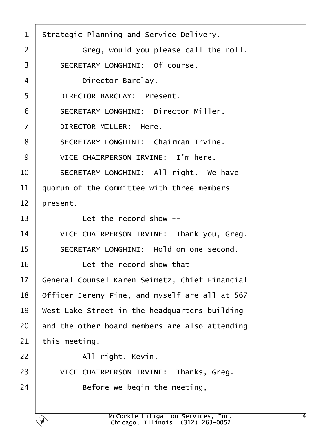<span id="page-3-0"></span>1 Strategic Planning and Service Delivery.  $2$   $\vert$  6reg, would you please call the roll. 3 SECRETARY LONGHINI: Of course. 4 Director Barclay. 5 **DIRECTOR BARCLAY: Present.** 6 | SECRETARY LONGHINI: Director Miller.  $7$   $\vert$  DIRECTOR MILLER: Here. 8 | SECRETARY LONGHINI: Chairman Irvine. 9 VICE CHAIRPERSON IRVINE: I'm here. 10 SECRETARY LONGHINI: All right. We have  $11$  auorum of the Committee with three members  $12$  | present.  $13$   $\vert$   $\vert$  Let the record show --14 VICE CHAIRPERSON IRVINE: Thank you, Greg. 15 | SECRETARY LONGHINI: Hold on one second. 16· · · · · · Let the record show that 17 | General Counsel Karen Seimetz. Chief Financial  $18$  | Officer Jeremy Fine, and myself are all at 567  $19$   $\mid$  West Lake Street in the headquarters building  $20$  and the other board members are also attending  $21$  this meeting.  $22$  |  $\qquad$  All right, Kevin. 23 VICE CHAIRPERSON IRVINE: Thanks, Greg.  $24$  **Before we begin the meeting,**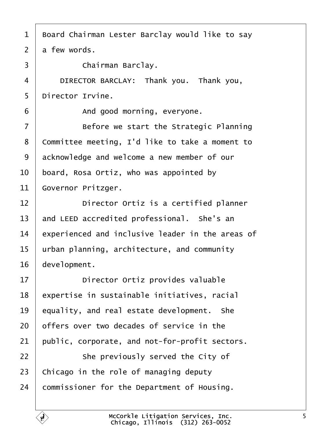<span id="page-4-0"></span>

| 1              | Board Chairman Lester Barclay would like to say  |
|----------------|--------------------------------------------------|
| $\overline{2}$ | a few words.                                     |
| 3              | Chairman Barclay.                                |
| 4              | DIRECTOR BARCLAY: Thank you. Thank you,          |
| 5              | Director Irvine.                                 |
| 6              | And good morning, everyone.                      |
| $\overline{7}$ | Before we start the Strategic Planning           |
| 8              | Committee meeting, I'd like to take a moment to  |
| 9              | acknowledge and welcome a new member of our      |
| 10             | board, Rosa Ortiz, who was appointed by          |
| 11             | Governor Pritzger.                               |
| 12             | Director Ortiz is a certified planner            |
| 13             | and LEED accredited professional. She's an       |
| 14             | experienced and inclusive leader in the areas of |
| 15             | urban planning, architecture, and community      |
| 16             | development.                                     |
| 17             | Director Ortiz provides valuable                 |
| 18             | expertise in sustainable initiatives, racial     |
| 19             | equality, and real estate development. She       |
| 20             | offers over two decades of service in the        |
| 21             | public, corporate, and not-for-profit sectors.   |
| 22             | She previously served the City of                |
| 23             | Chicago in the role of managing deputy           |
| 24             | commissioner for the Department of Housing.      |
|                |                                                  |

e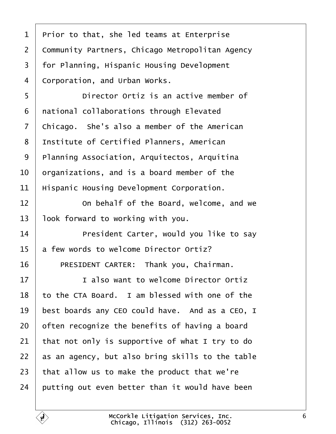<span id="page-5-0"></span>

| $\mathbf 1$    | Prior to that, she led teams at Enterprise       |
|----------------|--------------------------------------------------|
| $\overline{2}$ | Community Partners, Chicago Metropolitan Agency  |
| 3              | for Planning, Hispanic Housing Development       |
| 4              | Corporation, and Urban Works.                    |
| 5              | Director Ortiz is an active member of            |
| 6              | national collaborations through Elevated         |
| $\overline{7}$ | Chicago. She's also a member of the American     |
| 8              | Institute of Certified Planners, American        |
| 9              | Planning Association, Arquitectos, Arquitina     |
| 10             | organizations, and is a board member of the      |
| 11             | Hispanic Housing Development Corporation.        |
| 12             | On behalf of the Board, welcome, and we          |
| 13             | look forward to working with you.                |
| 14             | President Carter, would you like to say          |
| 15             | a few words to welcome Director Ortiz?           |
| 16             | PRESIDENT CARTER: Thank you, Chairman.           |
| 17             | I also want to welcome Director Ortiz            |
| 18             | to the CTA Board. I am blessed with one of the   |
| 19             | best boards any CEO could have. And as a CEO, I  |
| 20             | often recognize the benefits of having a board   |
| 21             | that not only is supportive of what I try to do  |
| 22             | as an agency, but also bring skills to the table |
| 23             | that allow us to make the product that we're     |
| 24             | putting out even better than it would have been  |

É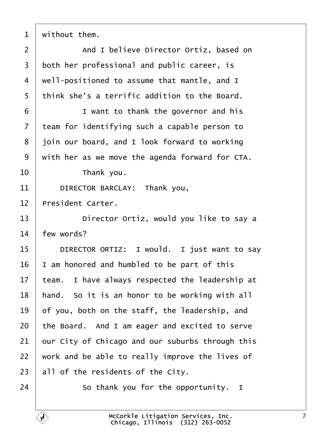<span id="page-6-0"></span>without them.

2 | And I believe Director Ortiz, based on both her professional and public career, is  $4 \mid$  well-positioned to assume that mantle, and I | think she's a terrific addition to the Board. **I** want to thank the governor and his  $\vert$  team for identifying such a capable person to | join our board, and I look forward to working with her as we move the agenda forward for CTA.  $\parallel$  Thank you. 11 DIRECTOR BARCLAY: Thank you, | President Carter. **Director Ortiz, would you like to say a**   $+$  few words? **DIRECTOR ORTIZ:** I would. I just want to say | I am honored and humbled to be part of this team. I have always respected the leadership at | hand. So it is an honor to be working with all of you, both on the staff, the leadership, and the Board. And I am eager and excited to serve our City of Chicago and our suburbs through this work and be able to really improve the lives of all of the residents of the City.

 $\vert$  So thank you for the opportunity. I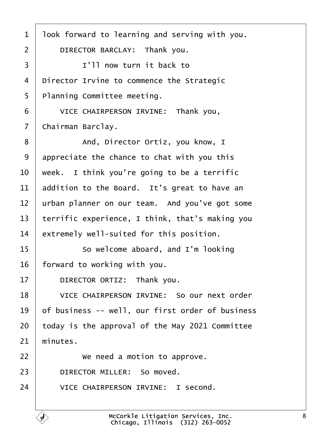<span id="page-7-0"></span>1 | look forward to learning and serving with you. 2 DIRECTOR BARCLAY: Thank you. 3 **1'll now turn it back to**  $4$  Director Irvine to commence the Strategic 5 | Planning Committee meeting. 6 **VICE CHAIRPERSON IRVINE:** Thank you, 7 | Chairman Barclay. 8 | And, Director Ortiz, you know, I  $9$  appreciate the chance to chat with you this  $10$   $\vert$  week. I think you're going to be a terrific 11  $\vert$  addition to the Board. It's great to have an 12 | urban planner on our team. And you've got some 13 | terrific experience, I think, that's making you  $14$  extremely well-suited for this position. 15 **So welcome aboard, and I'm looking** 16 | forward to working with you. 17 DIRECTOR ORTIZ: Thank you. 18 | VICE CHAIRPERSON IRVINE: So our next order  $19$   $\vert$  of business -- well, our first order of business  $20$  today is the approval of the May 2021 Committee  $21$  minutes. 22 **We need a motion to approve.** 23 DIRECTOR MILLER: So moved. 24 VICE CHAIRPERSON IRVINE: I second.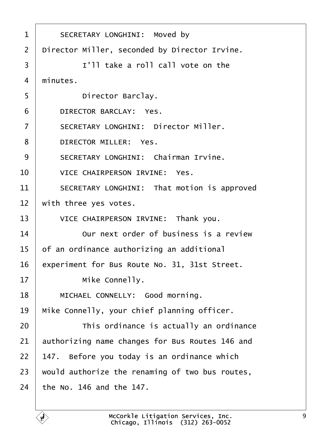<span id="page-8-0"></span>

| $\mathbf 1$    | SECRETARY LONGHINI: Moved by                    |
|----------------|-------------------------------------------------|
| $\overline{2}$ | Director Miller, seconded by Director Irvine.   |
| 3              | I'll take a roll call vote on the               |
| 4              | minutes.                                        |
| 5              | Director Barclay.                               |
| 6              | DIRECTOR BARCLAY: Yes.                          |
| $\overline{7}$ | SECRETARY LONGHINI: Director Miller.            |
| 8              | DIRECTOR MILLER: Yes.                           |
| 9              | SECRETARY LONGHINI: Chairman Irvine.            |
| 10             | VICE CHAIRPERSON IRVINE: Yes.                   |
| 11             | SECRETARY LONGHINI: That motion is approved     |
| 12             | with three yes votes.                           |
| 13             | VICE CHAIRPERSON IRVINE: Thank you.             |
| 14             | Our next order of business is a review          |
| 15             | of an ordinance authorizing an additional       |
| 16             | experiment for Bus Route No. 31, 31st Street.   |
| 17             | Mike Connelly.                                  |
| 18             | MICHAEL CONNELLY: Good morning.                 |
| 19             | Mike Connelly, your chief planning officer.     |
| 20             | This ordinance is actually an ordinance         |
| 21             | authorizing name changes for Bus Routes 146 and |
| 22             | 147. Before you today is an ordinance which     |
| 23             | would authorize the renaming of two bus routes, |
| 24             | the No. 146 and the 147.                        |
|                |                                                 |

É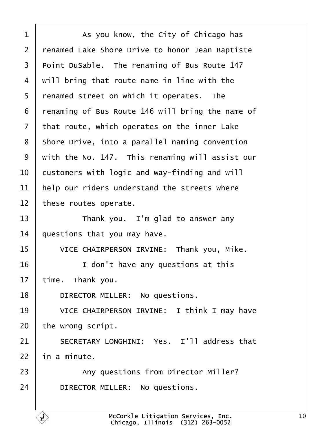<span id="page-9-0"></span>**4** As you know, the City of Chicago has 2 | renamed Lake Shore Drive to honor Jean Baptiste Point DuSable. The renaming of Bus Route 147  $\mid$  will bring that route name in line with the 5 | renamed street on which it operates. The renaming of Bus Route 146 will bring the name of that route, which operates on the inner Lake 8 | Shore Drive, into a parallel naming convention with the No. 147. This renaming will assist our  $\vert$  customers with logic and way-finding and will  $\parallel$  help our riders understand the streets where these routes operate. Thank you. I'm glad to answer any | questions that you may have. 15 VICE CHAIRPERSON IRVINE: Thank you, Mike.  $\vert$   $\vert$   $\vert$   $\vert$   $\vert$   $\vert$   $\vert$  don't have any questions at this time. Thank you. 18 DIRECTOR MILLER: No questions. 19 VICE CHAIRPERSON IRVINE: I think I may have the wrong script. 21 SECRETARY LONGHINI: Yes. I'll address that in a minute. 23 | Any questions from Director Miller? 24 DIRECTOR MILLER: No questions.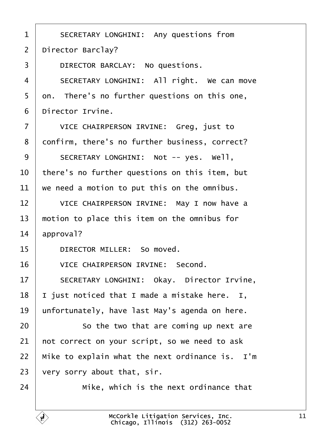<span id="page-10-0"></span>1 | SECRETARY LONGHINI: Any questions from 2 | Director Barclay? 3 DIRECTOR BARCLAY: No questions. 4 | SECRETARY LONGHINI: All right. We can move  $5$  on. There's no further questions on this one,  $6$  | Director Irvine. 7 | VICE CHAIRPERSON IRVINE: Greg, just to 8 | confirm, there's no further business, correct? 9 SECRETARY LONGHINI: Not -- yes. Well.  $10$   $\vert$  there's no further questions on this item, but  $11$  we need a motion to put this on the omnibus. 12 VICE CHAIRPERSON IRVINE: May I now have a  $13$   $\parallel$  motion to place this item on the omnibus for  $14$  approval? 15 **DIRECTOR MILLER:** So moved. 16 VICE CHAIRPERSON IRVINE: Second. 17 SECRETARY LONGHINI: Okay. Director Irvine,  $18$  | I just noticed that I made a mistake here. I, 19 | unfortunately, have last May's agenda on here. 20 **So the two that are coming up next are**  $21$  not correct on your script, so we need to ask  $22$  | Mike to explain what the next ordinance is. I'm  $23$  very sorry about that, sir.  $24$   $\parallel$   $Mike$ , which is the next ordinance that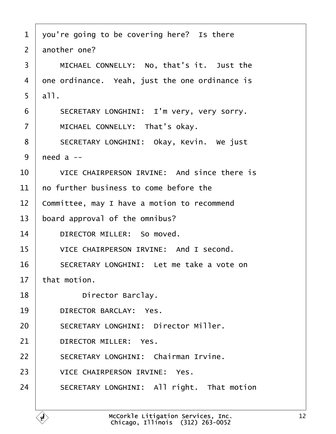<span id="page-11-0"></span>

| $\mathbf{1}$   | you're going to be covering here? Is there     |
|----------------|------------------------------------------------|
| $\overline{2}$ | another one?                                   |
| 3              | MICHAEL CONNELLY: No, that's it. Just the      |
| 4              | one ordinance. Yeah, just the one ordinance is |
| 5              | a11.                                           |
| 6              | SECRETARY LONGHINI: I'm very, very sorry.      |
| $\overline{7}$ | MICHAEL CONNELLY: That's okay.                 |
| 8              | SECRETARY LONGHINI: Okay, Kevin. We just       |
| 9              | need $a -$                                     |
| 10             | VICE CHAIRPERSON IRVINE: And since there is    |
| 11             | no further business to come before the         |
| 12             | Committee, may I have a motion to recommend    |
| 13             | board approval of the omnibus?                 |
| 14             | DIRECTOR MILLER: So moved.                     |
| 15             | VICE CHAIRPERSON IRVINE: And I second.         |
| 16             | SECRETARY LONGHINI: Let me take a vote on      |
| 17             | that motion.                                   |
| 18             | Director Barclay.                              |
| 19             | DIRECTOR BARCLAY: Yes.                         |
| 20             | SECRETARY LONGHINI: Director Miller.           |
| 21             | DIRECTOR MILLER: Yes.                          |
| 22             | SECRETARY LONGHINI: Chairman Irvine.           |
| 23             | VICE CHAIRPERSON IRVINE: Yes.                  |
| 24             | SECRETARY LONGHINI: All right. That motion     |
|                |                                                |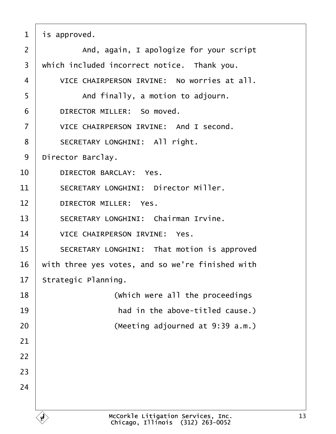<span id="page-12-0"></span> $1$  is approved.  $2$   $\vert$  and, again, I apologize for your script  $3$  which included incorrect notice. Thank you. 4 VICE CHAIRPERSON IRVINE: No worries at all. 5 | And finally, a motion to adjourn. 6 DIRECTOR MILLER: So moved. 7 VICE CHAIRPERSON IRVINE: And I second. 8 | SECRETARY LONGHINI: All right. 9 | Director Barclay. 10 **DIRECTOR BARCLAY:** Yes. 11 SECRETARY LONGHINI: Director Miller. 12 DIRECTOR MILLER: Yes. 13 | SECRETARY LONGHINI: Chairman Irvine. 14 VICE CHAIRPERSON IRVINE: Yes. 15 | SECRETARY LONGHINI: That motion is approved  $16$  with three yes votes, and so we're finished with  $17$  Strategic Planning. 18· · · · · · · · · ·(Which were all the proceedings 19· · · · · · · · · · had in the above-titled cause.) 20 | (Meeting adjourned at 9:39 a.m.) 21 22 23 24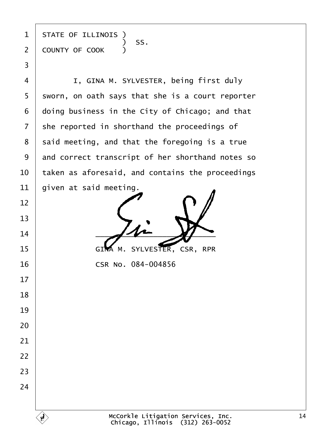state of illinois )  $\begin{array}{|c|c|c|c|c|}\n\hline\n\text{\textend{array}}$   $\begin{array}{c} \text{\textend{array}}$   $\begin{array}{c} \text{\textend{array}}$   $\begin{array}{c} \text{\textend{array}}$   $\begin{array}{c} \text{\textend{array}}$ 2 COUNTY OF COOK )

·3

4 | I, GINA M. SYLVESTER, being first duly sworn, on oath says that she is a court reporter doing business in the City of Chicago; and that she reported in shorthand the proceedings of said meeting, and that the foregoing is a true 9 and correct transcript of her shorthand notes so  $\,$  taken as aforesaid, and contains the proceedings  $\vert$  given at said meeting.

  $-4$ 15 GIMA M. SYLVESTER, CSR, RPR

**CSR No. 084-004856**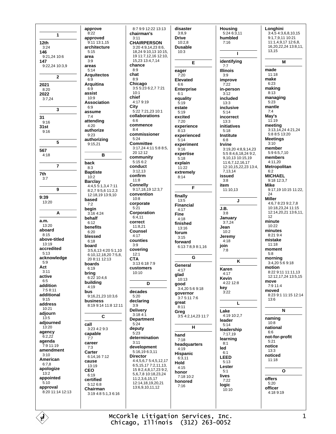1  $12th$  $3:24$ 146 9:21,24 10:6 147 9:22.24 10:3.9  $\overline{2}$ 2021  $8:20$ 2022  $3:7,24$  $\overline{3}$  $31$  $9.16$  $31st$  $9:16$  ${\bf 5}$ 567  $4:18$  $\bf 7$ 7th  $3:7$ 9  $9:39$ 13:20 A a.m. 13:20 aboard  $8:15$ above-titled  $13.19$ accredited  $5:13$ acknowledge  $5.9$ Act  $3:11$ active  $6:5$ addition  $7.58.11$ additional  $9:15$ address  $10:21$ adjourn  $13:5$ adjourned  $13:20$ agency  $6.222$ agenda -<br>7:9 11:19 amendment  $3.10$ American  $6.78$ apologize  $13:2$ appointed  $5.10$ approval 8:20 11:14 12:13

É

approve  $8:22$ approved  $9:11$  13:1 15 architecture  $5.15$ area  $3:9$ areas  $5.14$ **Arquitectos**  $6:9$ **Arquitina**  $6:9$ assist 10:9 **Association**  $6:9$ assume  $7:4$ attending  $4.20$ authorize  $9:23$ authorizing 9:15,21 B back  $8:3$ **Baptiste**  $10:2$ **Barclay** 4:4,5 5:1,3,4 7:11 8:2.7 9:5.6 11:2.3 12:18,19 13:9,10 based  $7.2$ begin 3:16 4:24 hehalf  $6:12$ benefits  $6:20$ blessed  $6:18$ board 3:5,6,13 4:20 5:1,10 6:10,12,18,20 7:5,8, 20 8:11 12:13 boards  $6:19$ bring  $6:22$  10:4,6 building  $4:19$ hus 9:16.21.23 10:3.6 business 8:19 9:14 11:8 12:11 С call 3:23 4:2 9:3 capable  $7:7$ career  $7:3$ Carter  $6.1416712$ cause 13:19 **CEO**  $6:19$ certified  $5:126:8$ Chairman 3:19 4:8 5:1.3 6:16

8:7 9:9 12:22 13:13 chairman's  $3:11$ **CHAIRPERSON**  $3.204.9142386$ 18 24 9:10 13 10:15 19 11 7 12 16 12 10 15,23 13:4,7,14 chance  $8.9$ chat  $8:9$ Chicago 3:5 5:23 6:2,7 7:21  $10.1$ chief 4:17 9:19 City 5:22 7:21,23 10:1 collaborations  $6.6$ commence  $8.4$ commissioner  $5:24$ **Committee** 3:17.24 4:11 5:8 8:5. 20 12:12 community  $5.1562$ conduct  $3:12.13$ confirm  $11.8$ **Connelly** 9:17,18,19 12:3,7 convention  $10.8$ corporate  $5.21$ Corporation  $6:4.11$ correct  $11.821$ Counsel  $4:17$ counties  $3:9$ covering  $12:1$ **CTA** 3:13 6:18 7:9 customers  $10.10$ D decades  $5:20$ declaring  $3:9$ **Delivery**  $3:184:1$ Department  $5:24$ deputy  $5:23$ determination  $3:11$ development 5:16,19 6:3,11 **Director** 4:4.5.6.7 5:4.5.12.17  $6:5.15.177:2.11.13$ 158248172392 5,6,7,8 10:18,23,24  $11.2361517$ 12:14.18.19.20.21 13:6,9,10,11,12

disaster  $3:8,9$ **Drive**  $10.28$ Dusable  $10.3$ E eager  $7.20$ Elevated 66 **Enterprise**  $6:1$ equality  $5:19$ estate  $5.19$ excited  $7:20$ experience  $8:13$ experienced  $5:14$ experiment  $9:16$ expertise  $5.18$ explain  $11:22$ extremely  $8:14$ F finally  $13.5$ Financial  $4:17$ **Fine**  $4.18$ finished  $13.16$ forum  $3.15$ forward 6:13 7:8.9 8:1.16 G General  $4:17$ glad  $10.13$ good  $3:4.205:69:18$ governor 3:7 5:11 7:6  $<sub>great</sub>$ </sub>  $8.11$ Greg 3:5 4:2,14,23 11:7 н hand  $7:18$ headquarters  $4:19$ Hispanic  $6:311$ Hold  $4:15$ honor  $7.1810.2$ honored  $7:16$ 

**Housing**  $5:246:3,11$ humbled  $7.16$  $\mathbf{I}$ identifying  $7.7$ **Illinois**  $3:9$ improve  $7.22$ in-person  $3.12$ included  $13:3$ inclusive  $5.14$ incorrect  $13:3$ initiatives  $5:18$ Institute  $6:8$ **Irvine** 3:19,20 4:8,9,14,23 5:5 8:4,6,18,24 9:2, 9,10,13 10:15,19 11:6,7,12,16,17<br>12:10,15,22,23 13:4, 7 13 14 issued  $3:8$ item 11:10,13  $\mathbf{I}$ J.B.  $3.8$ January  $3:7,24$ Jean  $10:2$ Jeremy  $4:18$ join  $7:8$ K Karen  $4.17$ **Kevin**  $4.2212.8$ key  $3:22$  $\mathbf{L}$ Lake 4:19 10:2.7 leader  $5.14$ leadership  $7:17.19$ learning  $8.1$ led  $6.1$ **LEED**  $5:13$ **Lester**  $5.1$ lives  $7:22$ logic  $10:10$ 

Longhini  $3:4,54:3,6,8,10,15$ 9:1,7,9,11 10:21 11:1,4,9,17 12:6,8, 16,20,22,24 13:8,11,  $13,15$ M made  $11.18$ make  $6:23$ making  $8:13$ managing  $5.23$ mantle  $7:4$ May's  $11.19$ meeting<br>3:13,14,24 4:21,24 5:8 8:5 13:20 **Meetings**  $3:10$ member  $5.965710$ members 4:11,20 Metropolitan  $6.2$ **MICHAEL** 9:18 12:3,7 **Mike** 9:17,19 10:15 11:22, 24 **Miller**  $4.678.239.278$ 10:18.23.24 11:15 12:14,20,21 13:6,11,  $12$ minute  $10.22$ minutes  $8.2194$ mistake  $11:18$ moment  $5:8$ morning 3:4,20 5:6 9:18 motion 8:22 9:11 11:11,13 12:12,17,24 13:5,15 move 7:9 11:4 moved 8:23 9:1 11:15 12:14 13:6 N naming  $10:8$ national  $6:6$ not-for-profit  $5:21$ notice  $13:3$ noticed  $11:18$  $\mathbf{o}$ 

McCorkle Litigation Services, Inc. Chicago, Illinois (312) 263-0052 offers

 $5:20$ 

officer

4:18 9:19